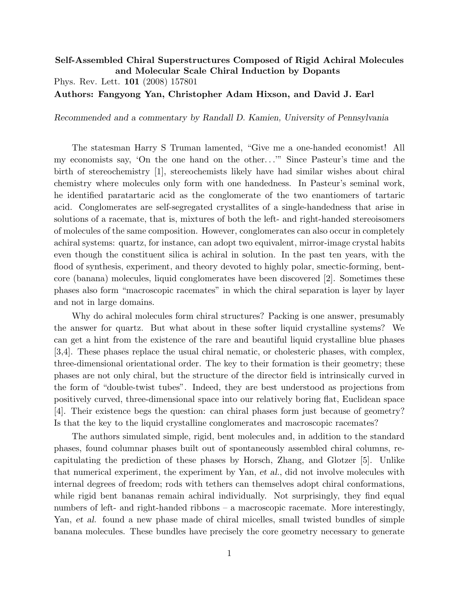## Self-Assembled Chiral Superstructures Composed of Rigid Achiral Molecules and Molecular Scale Chiral Induction by Dopants Phys. Rev. Lett. 101 (2008) 157801 Authors: Fangyong Yan, Christopher Adam Hixson, and David J. Earl

Recommended and a commentary by Randall D. Kamien, University of Pennsylvania

The statesman Harry S Truman lamented, "Give me a one-handed economist! All my economists say, 'On the one hand on the other...'" Since Pasteur's time and the birth of stereochemistry [1], stereochemists likely have had similar wishes about chiral chemistry where molecules only form with one handedness. In Pasteur's seminal work, he identified paratartaric acid as the conglomerate of the two enantiomers of tartaric acid. Conglomerates are self-segregated crystallites of a single-handedness that arise in solutions of a racemate, that is, mixtures of both the left- and right-handed stereoisomers of molecules of the same composition. However, conglomerates can also occur in completely achiral systems: quartz, for instance, can adopt two equivalent, mirror-image crystal habits even though the constituent silica is achiral in solution. In the past ten years, with the flood of synthesis, experiment, and theory devoted to highly polar, smectic-forming, bentcore (banana) molecules, liquid conglomerates have been discovered [2]. Sometimes these phases also form "macroscopic racemates" in which the chiral separation is layer by layer and not in large domains.

Why do achiral molecules form chiral structures? Packing is one answer, presumably the answer for quartz. But what about in these softer liquid crystalline systems? We can get a hint from the existence of the rare and beautiful liquid crystalline blue phases [3,4]. These phases replace the usual chiral nematic, or cholesteric phases, with complex, three-dimensional orientational order. The key to their formation is their geometry; these phases are not only chiral, but the structure of the director field is intrinsically curved in the form of "double-twist tubes". Indeed, they are best understood as projections from positively curved, three-dimensional space into our relatively boring flat, Euclidean space [4]. Their existence begs the question: can chiral phases form just because of geometry? Is that the key to the liquid crystalline conglomerates and macroscopic racemates?

The authors simulated simple, rigid, bent molecules and, in addition to the standard phases, found columnar phases built out of spontaneously assembled chiral columns, recapitulating the prediction of these phases by Horsch, Zhang, and Glotzer [5]. Unlike that numerical experiment, the experiment by Yan, et al., did not involve molecules with internal degrees of freedom; rods with tethers can themselves adopt chiral conformations, while rigid bent bananas remain achiral individually. Not surprisingly, they find equal numbers of left- and right-handed ribbons – a macroscopic racemate. More interestingly, Yan, et al. found a new phase made of chiral micelles, small twisted bundles of simple banana molecules. These bundles have precisely the core geometry necessary to generate